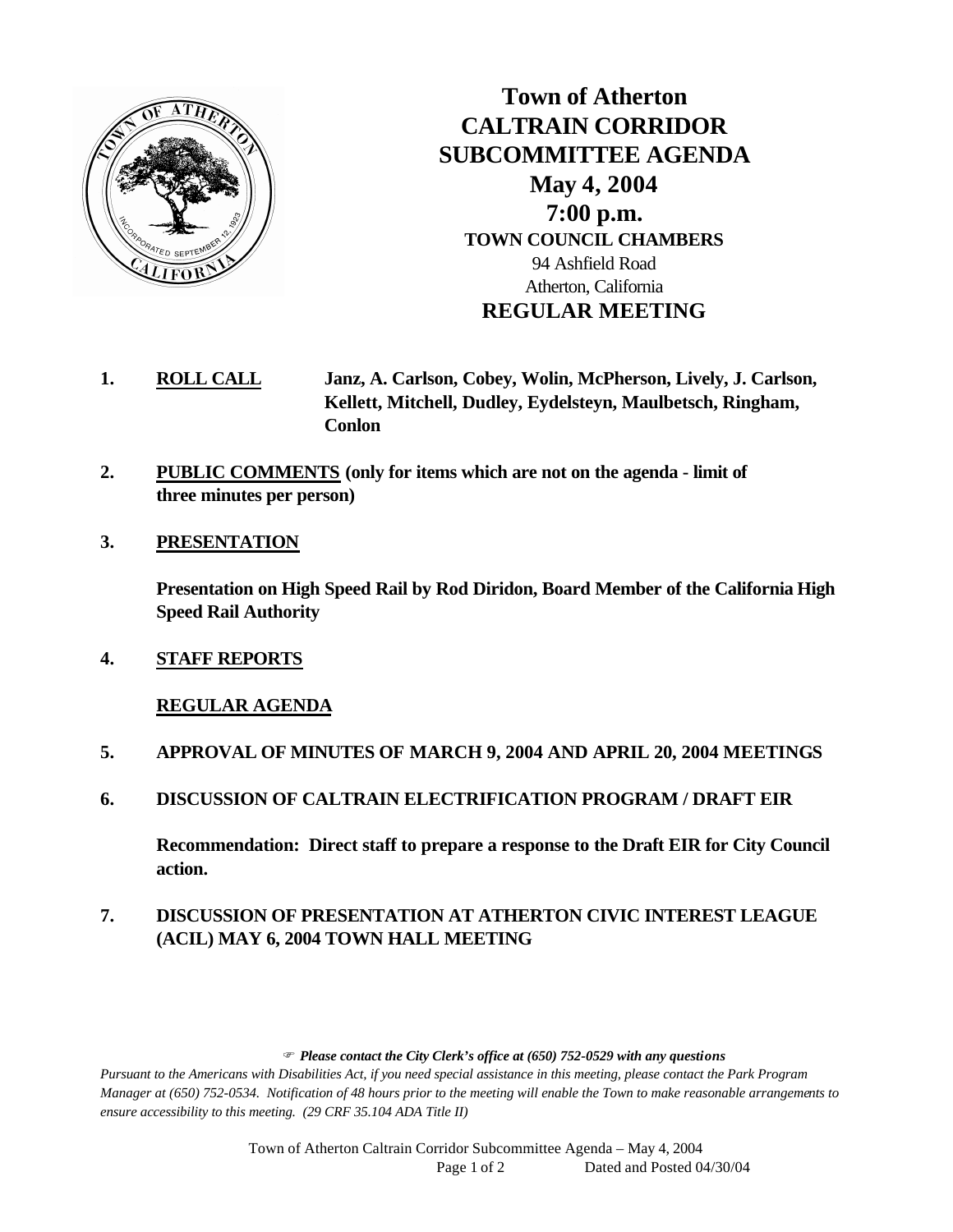

**Town of Atherton CALTRAIN CORRIDOR SUBCOMMITTEE AGENDA May 4, 2004 7:00 p.m. TOWN COUNCIL CHAMBERS** 94 Ashfield Road Atherton, California **REGULAR MEETING**

- **1. ROLL CALL Janz, A. Carlson, Cobey, Wolin, McPherson, Lively, J. Carlson, Kellett, Mitchell, Dudley, Eydelsteyn, Maulbetsch, Ringham, Conlon**
- **2. PUBLIC COMMENTS (only for items which are not on the agenda limit of three minutes per person)**
- **3. PRESENTATION**

**Presentation on High Speed Rail by Rod Diridon, Board Member of the California High Speed Rail Authority**

**4. STAFF REPORTS**

## **REGULAR AGENDA**

- **5. APPROVAL OF MINUTES OF MARCH 9, 2004 AND APRIL 20, 2004 MEETINGS**
- **6. DISCUSSION OF CALTRAIN ELECTRIFICATION PROGRAM / DRAFT EIR**

**Recommendation: Direct staff to prepare a response to the Draft EIR for City Council action.** 

## **7. DISCUSSION OF PRESENTATION AT ATHERTON CIVIC INTEREST LEAGUE (ACIL) MAY 6, 2004 TOWN HALL MEETING**

F *Please contact the City Clerk's office at (650) 752-0529 with any questions*

*Pursuant to the Americans with Disabilities Act, if you need special assistance in this meeting, please contact the Park Program Manager at (650) 752-0534. Notification of 48 hours prior to the meeting will enable the Town to make reasonable arrangements to ensure accessibility to this meeting. (29 CRF 35.104 ADA Title II)* 

> Town of Atherton Caltrain Corridor Subcommittee Agenda – May 4, 2004 Page 1 of 2 Dated and Posted 04/30/04